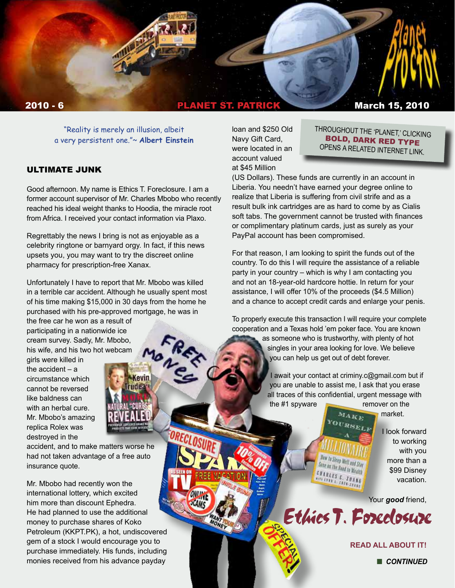

"Reality is merely an illusion, albeit a very persistent one."~ **Albert Einstein**

#### ULTIMATE JUNK

Good afternoon. My name is Ethics T. Foreclosure. I am a former account supervisor of Mr. Charles Mbobo who recently reached his ideal weight thanks to Hoodia, the miracle root from Africa. I received your contact information via Plaxo.

Regrettably the news I bring is not as enjoyable as a celebrity ringtone or barnyard orgy. In fact, if this news upsets you, you may want to try the discreet online pharmacy for prescription-free Xanax.

Unfortunately I have to report that Mr. Mbobo was killed in a terrible car accident. Although he usually spent most of his time making \$15,000 in 30 days from the home he purchased with his pre-approved mortgage, he was in

MONES

**Kevin** rudea<sup>.</sup>

the free car he won as a result of participating in a nationwide ice cream survey. Sadly, Mr. Mbobo, his wife, and his two hot webcam

girls were killed in the accident – a circumstance which cannot be reversed like baldness can with an herbal cure. Mr. Mbobo's amazing replica Rolex was destroyed in the

accident, and to make matters worse he had not taken advantage of a free auto insurance quote.

Mr. Mbobo had recently won the international lottery, which excited him more than discount Ephedra. He had planned to use the additional money to purchase shares of Koko Petroleum (KKPT.PK), a hot, undiscovered gem of a stock I would encourage you to purchase immediately. His funds, including monies received from his advance payday

loan and \$250 Old Navy Gift Card, were located in an account valued at \$45 Million

THROUGHOUT THE 'PLANET,' CLICKING BOLD, DARK RED TYPE OPENS A RELATED INTERNET LINK.

(US Dollars). These funds are currently in an account in Liberia. You needn't have earned your degree online to realize that Liberia is suffering from civil strife and as a result bulk ink cartridges are as hard to come by as Cialis soft tabs. The government cannot be trusted with finances or complimentary platinum cards, just as surely as your PayPal account has been compromised.

For that reason, I am looking to spirit the funds out of the country. To do this I will require the assistance of a reliable party in your country – which is why I am contacting you and not an 18-year-old hardcore hottie. In return for your assistance, I will offer 10% of the proceeds (\$4.5 Million) and a chance to accept credit cards and enlarge your penis.

To properly execute this transaction I will require your complete cooperation and a Texas hold 'em poker face. You are known as someone who is trustworthy, with plenty of hot

singles in your area looking for love. We believe you can help us get out of debt forever.

I await your contact at criminy.c@gmail.com but if you are unable to assist me, I ask that you erase all traces of this confidential, urgent message with

MAKE

the #1 spyware remover on the

market.

OURSELF **Yow to Sleep Well and Stay** Sane on the Road to Wedth<br>NARA Extend to Wealth **CHARLES C. ZHANG TANLES C. ZHAN** 

Ethics T. Foreclosure

I look forward to working with you more than a \$99 Disney vacation.

Your *good* friend,

**[READ ALL ABOUT IT!](http://www.banterist.com/archivefiles/000302.html)**

**n** CONTINUED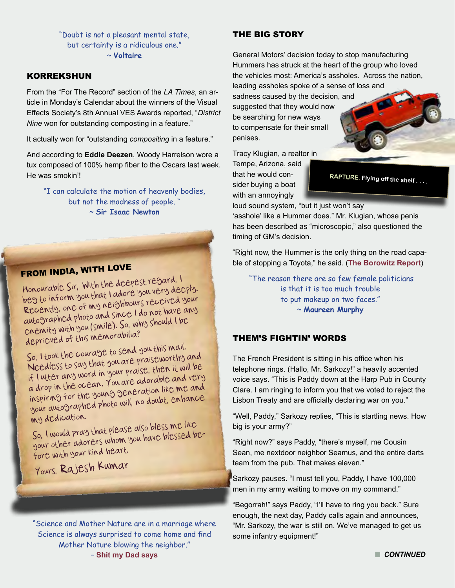"Doubt is not a pleasant mental state, but certainty is a ridiculous one." ~ **Voltaire** 

### KORREKSHUN

From the "For The Record" section of the *LA Times*, an article in Monday's Calendar about the winners of the Visual Effects Society's 8th Annual VES Awards reported, "*District Nine* won for outstanding composting in a feature."

It actually won for "outstanding *compositing* in a feature."

And according to **Eddie Deezen**, Woody Harrelson wore a tux composed of 100% hemp fiber to the Oscars last week. He was smokin'!

"I can calculate the motion of heavenly bodies, but not the madness of people. " ~ **Sir Isaac Newton**

# FROM INDIA, WITH LOVE

Honourable Sir, With the deepest regard, I beg to inform you that I adore you very deeply. Recently, one of my neighbours received your autographed photo and since I do not have any enemity with you (smile). So, why should I be deprieved of this memorabilia?

So, I took the courage to send you this mail. Needless to say that you are praiseworthy and if I utter any word in your praise, then it will be a drop in the ocean. You are adorable and very inspiring for the young generation like me and your autographed photo will, no doubt, enhance my dedication.

So, I would pray that please also bless me like your other adorers whom you have blessed before with your kind heart.

Yours, Rajesh Kumar

"Science and Mother Nature are in a marriage where Science is always surprised to come home and find Mother Nature blowing the neighbor." – **[Shit my Dad says](http://twitter.com/Shitmydadsays)**

#### THE BIG STORY

General Motors' decision today to stop manufacturing Hummers has struck at the heart of the group who loved the vehicles most: America's assholes. Across the nation, leading assholes spoke of a sense of loss and sadness caused by the decision, and suggested that they would now be searching for new ways to compensate for their small

Tracy Klugian, a realtor in Tempe, Arizona, said that he would consider buying a boat with an annoyingly

penises.

**RAPTURE. Flying off the shelf . . . .**

loud sound system, "but it just won't say 'asshole' like a Hummer does." Mr. Klugian, whose penis has been described as "microscopic," also questioned the timing of GM's decision.

"Right now, the Hummer is the only thing on the road capable of stopping a Toyota," he said. (**[The Borowitz Report](http://tinyurl.com/y9uoc4t)**)

 "The reason there are so few female politicians is that it is too much trouble to put makeup on two faces." ~ **Maureen Murphy**

#### THEM'S FIGHTIN' WORDS

The French President is sitting in his office when his telephone rings. (Hallo, Mr. Sarkozy!" a heavily accented voice says. "This is Paddy down at the Harp Pub in County Clare. I am ringing to inform you that we voted to reject the Lisbon Treaty and are officially declaring war on you."

"Well, Paddy," Sarkozy replies, "This is startling news. How big is your army?"

"Right now?" says Paddy, "there's myself, me Cousin Sean, me nextdoor neighbor Seamus, and the entire darts team from the pub. That makes eleven."

Sarkozy pauses. "I must tell you, Paddy, I have 100,000 men in my army waiting to move on my command."

"Begorrah!" says Paddy, "I'll have to ring you back." Sure enough, the next day, Paddy calls again and announces, "Mr. Sarkozy, the war is still on. We've managed to get us some infantry equipment!"

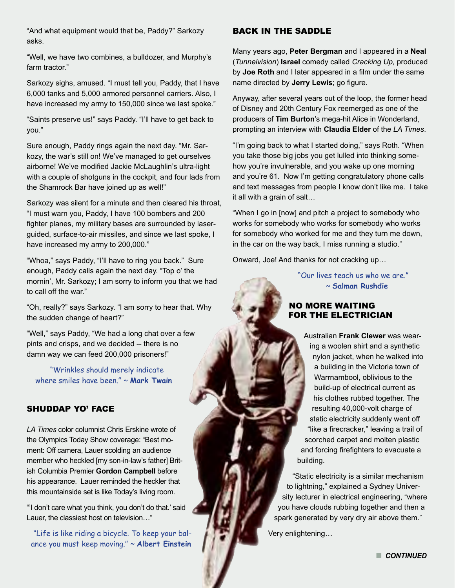"And what equipment would that be, Paddy?" Sarkozy asks.

"Well, we have two combines, a bulldozer, and Murphy's farm tractor."

Sarkozy sighs, amused. "I must tell you, Paddy, that I have 6,000 tanks and 5,000 armored personnel carriers. Also, I have increased my army to 150,000 since we last spoke."

"Saints preserve us!" says Paddy. "I'll have to get back to you."

Sure enough, Paddy rings again the next day. "Mr. Sarkozy, the war's still on! We've managed to get ourselves airborne! We've modified Jackie McLaughlin's ultra-light with a couple of shotguns in the cockpit, and four lads from the Shamrock Bar have joined up as well!"

Sarkozy was silent for a minute and then cleared his throat, "I must warn you, Paddy, I have 100 bombers and 200 fighter planes, my military bases are surrounded by laserguided, surface-to-air missiles, and since we last spoke, I have increased my army to 200,000."

"Whoa," says Paddy, "I'll have to ring you back." Sure enough, Paddy calls again the next day. "Top o' the mornin', Mr. Sarkozy; I am sorry to inform you that we had to call off the war."

"Oh, really?" says Sarkozy. "I am sorry to hear that. Why the sudden change of heart?"

"Well," says Paddy, "We had a long chat over a few pints and crisps, and we decided -- there is no damn way we can feed 200,000 prisoners!"

 "Wrinkles should merely indicate where smiles have been." ~ **Mark Twain** 

## SHUDDAP YO' FACE

*LA Times* color columnist Chris Erskine wrote of the Olympics Today Show coverage: "Best moment: Off camera, Lauer scolding an audience member who heckled [my son-in-law's father] British Columbia Premier **Gordon Campbell** before his appearance. Lauer reminded the heckler that this mountainside set is like Today's living room.

"'I don't care what you think, you don't do that.' said Lauer, the classiest host on television…"

 "Life is like riding a bicycle. To keep your balance you must keep moving." ~ **Albert Einstein**

## BACK IN THE SADDLE

Many years ago, **Peter Bergman** and I appeared in a **Neal**  (*Tunnelvision*) **Israel** comedy called *Cracking Up,* produced by **Joe Roth** and I later appeared in a film under the same name directed by **Jerry Lewis**; go figure.

Anyway, after several years out of the loop, the former head of Disney and 20th Century Fox reemerged as one of the producers of **Tim Burton**'s mega-hit Alice in Wonderland, prompting an interview with **Claudia Elder** of the *LA Times*.

"I'm going back to what I started doing," says Roth. "When you take those big jobs you get lulled into thinking somehow you're invulnerable, and you wake up one morning and you're 61. Now I'm getting congratulatory phone calls and text messages from people I know don't like me. I take it all with a grain of salt…

"When I go in [now] and pitch a project to somebody who works for somebody who works for somebody who works for somebody who worked for me and they turn me down, in the car on the way back, I miss running a studio."

Onward, Joe! And thanks for not cracking up…

"Our lives teach us who we are." ~ **Salman Rushdie**

# NO MORE WAITING FOR THE ELECTRICIAN

Australian **Frank Clewer** was wearing a woolen shirt and a synthetic nylon jacket, when he walked into a building in the Victoria town of Warrnambool, oblivious to the build-up of electrical current as his clothes rubbed together. The resulting 40,000-volt charge of static electricity suddenly went off "like a firecracker," leaving a trail of scorched carpet and molten plastic and forcing firefighters to evacuate a building.

 "Static electricity is a similar mechanism to lightning," explained a Sydney University lecturer in electrical engineering, "where you have clouds rubbing together and then a spark generated by very dry air above them."

Very enlightening…

**n** CONTINUED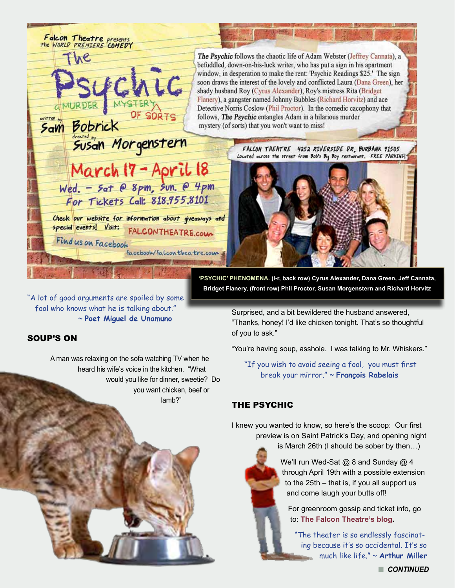

"A lot of good arguments are spoiled by some fool who knows what he is talking about." ~ **Poet Miguel de Unamuno**

## SOUP'S ON

A man was relaxing on the sofa watching TV when he heard his wife's voice in the kitchen. "What would you like for dinner, sweetie? Do you want chicken, beef or lamb?"

**'PSYCHIC' PHENOMENA. (l-r, back row) Cyrus Alexander, Dana Green, Jeff Cannata, Bridget Flanery, (front row) Phil Proctor, Susan Morgenstern and Richard Horvitz** 

> Surprised, and a bit bewildered the husband answered, "Thanks, honey! I'd like chicken tonight. That's so thoughtful of you to ask."

"You're having soup, asshole. I was talking to Mr. Whiskers."

 "If you wish to avoid seeing a fool, you must first break your mirror." ~ **François Rabelais**

# THE PSYCHIC

I knew you wanted to know, so here's the scoop: Our first preview is on Saint Patrick's Day, and opening night

is March 26th (I should be sober by then…)

We'll run Wed-Sat @ 8 and Sunday @ 4 through April 19th with a possible extension to the 25th – that is, if you all support us and come laugh your butts off!

For greenroom gossip and ticket info, go to: **[The Falcon Theatre's blog](http://www.falcontheatre.com/blog/).**

"The theater is so endlessly fascinating because it's so accidental. It's so much like life." ~ **Arthur Miller**